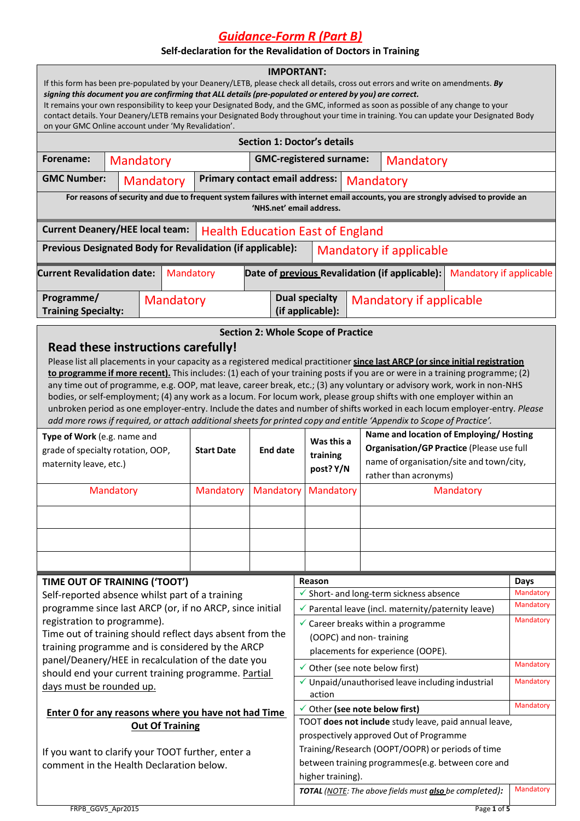*Guidance-Form R (Part B)*

## **Self-declaration for the Revalidation of Doctors in Training**

| <b>IMPORTANT:</b><br>If this form has been pre-populated by your Deanery/LETB, please check all details, cross out errors and write on amendments. By<br>signing this document you are confirming that ALL details (pre-populated or entered by you) are correct.<br>It remains your own responsibility to keep your Designated Body, and the GMC, informed as soon as possible of any change to your<br>contact details. Your Deanery/LETB remains your Designated Body throughout your time in training. You can update your Designated Body<br>on your GMC Online account under 'My Revalidation'.                                                                                                                                                                                                         |           |  |                                |                   |                                                                                                                                  |                                                  |                                                                                               |           |                                                                   |                                |                   |
|---------------------------------------------------------------------------------------------------------------------------------------------------------------------------------------------------------------------------------------------------------------------------------------------------------------------------------------------------------------------------------------------------------------------------------------------------------------------------------------------------------------------------------------------------------------------------------------------------------------------------------------------------------------------------------------------------------------------------------------------------------------------------------------------------------------|-----------|--|--------------------------------|-------------------|----------------------------------------------------------------------------------------------------------------------------------|--------------------------------------------------|-----------------------------------------------------------------------------------------------|-----------|-------------------------------------------------------------------|--------------------------------|-------------------|
| <b>Section 1: Doctor's details</b>                                                                                                                                                                                                                                                                                                                                                                                                                                                                                                                                                                                                                                                                                                                                                                            |           |  |                                |                   |                                                                                                                                  |                                                  |                                                                                               |           |                                                                   |                                |                   |
| Forename:                                                                                                                                                                                                                                                                                                                                                                                                                                                                                                                                                                                                                                                                                                                                                                                                     | Mandatory |  |                                |                   |                                                                                                                                  |                                                  | <b>GMC-registered surname:</b>                                                                |           | Mandatory                                                         |                                |                   |
| <b>GMC Number:</b><br>Mandatory                                                                                                                                                                                                                                                                                                                                                                                                                                                                                                                                                                                                                                                                                                                                                                               |           |  | Primary contact email address: |                   |                                                                                                                                  |                                                  | Mandatory                                                                                     |           |                                                                   |                                |                   |
|                                                                                                                                                                                                                                                                                                                                                                                                                                                                                                                                                                                                                                                                                                                                                                                                               |           |  |                                |                   | For reasons of security and due to frequent system failures with internet email accounts, you are strongly advised to provide an |                                                  |                                                                                               |           |                                                                   |                                |                   |
| 'NHS.net' email address.                                                                                                                                                                                                                                                                                                                                                                                                                                                                                                                                                                                                                                                                                                                                                                                      |           |  |                                |                   |                                                                                                                                  |                                                  |                                                                                               |           |                                                                   |                                |                   |
| <b>Current Deanery/HEE local team:</b><br><b>Health Education East of England</b>                                                                                                                                                                                                                                                                                                                                                                                                                                                                                                                                                                                                                                                                                                                             |           |  |                                |                   |                                                                                                                                  |                                                  |                                                                                               |           |                                                                   |                                |                   |
| Previous Designated Body for Revalidation (if applicable):<br><b>Mandatory if applicable</b>                                                                                                                                                                                                                                                                                                                                                                                                                                                                                                                                                                                                                                                                                                                  |           |  |                                |                   |                                                                                                                                  |                                                  |                                                                                               |           |                                                                   |                                |                   |
| <b>Current Revalidation date:</b>                                                                                                                                                                                                                                                                                                                                                                                                                                                                                                                                                                                                                                                                                                                                                                             |           |  | Mandatory                      |                   |                                                                                                                                  |                                                  |                                                                                               |           | Date of previous Revalidation (if applicable):                    | <b>Mandatory if applicable</b> |                   |
|                                                                                                                                                                                                                                                                                                                                                                                                                                                                                                                                                                                                                                                                                                                                                                                                               |           |  |                                |                   |                                                                                                                                  |                                                  |                                                                                               |           |                                                                   |                                |                   |
| Programme/                                                                                                                                                                                                                                                                                                                                                                                                                                                                                                                                                                                                                                                                                                                                                                                                    |           |  | Mandatory                      |                   |                                                                                                                                  |                                                  | <b>Dual specialty</b>                                                                         |           | Mandatory if applicable                                           |                                |                   |
| <b>Training Specialty:</b>                                                                                                                                                                                                                                                                                                                                                                                                                                                                                                                                                                                                                                                                                                                                                                                    |           |  |                                |                   |                                                                                                                                  |                                                  | (if applicable):                                                                              |           |                                                                   |                                |                   |
| Read these instructions carefully!<br>Please list all placements in your capacity as a registered medical practitioner since last ARCP (or since initial registration<br>to programme if more recent). This includes: (1) each of your training posts if you are or were in a training programme; (2)<br>any time out of programme, e.g. OOP, mat leave, career break, etc.; (3) any voluntary or advisory work, work in non-NHS<br>bodies, or self-employment; (4) any work as a locum. For locum work, please group shifts with one employer within an<br>unbroken period as one employer-entry. Include the dates and number of shifts worked in each locum employer-entry. Please<br>add more rows if required, or attach additional sheets for printed copy and entitle 'Appendix to Scope of Practice'. |           |  |                                |                   |                                                                                                                                  |                                                  |                                                                                               |           |                                                                   |                                |                   |
| Type of Work (e.g. name and                                                                                                                                                                                                                                                                                                                                                                                                                                                                                                                                                                                                                                                                                                                                                                                   |           |  |                                |                   |                                                                                                                                  |                                                  | Was this a                                                                                    |           | Name and location of Employing/Hosting                            |                                |                   |
| grade of specialty rotation, OOP,                                                                                                                                                                                                                                                                                                                                                                                                                                                                                                                                                                                                                                                                                                                                                                             |           |  |                                | <b>Start Date</b> | <b>End date</b>                                                                                                                  |                                                  | training                                                                                      |           | Organisation/GP Practice (Please use full                         |                                |                   |
| maternity leave, etc.)                                                                                                                                                                                                                                                                                                                                                                                                                                                                                                                                                                                                                                                                                                                                                                                        |           |  |                                |                   |                                                                                                                                  |                                                  | post? Y/N                                                                                     |           | name of organisation/site and town/city,<br>rather than acronyms) |                                |                   |
| Mandatory                                                                                                                                                                                                                                                                                                                                                                                                                                                                                                                                                                                                                                                                                                                                                                                                     |           |  |                                | Mandatory         | Mandatory                                                                                                                        |                                                  | Mandatory                                                                                     |           | Mandatory                                                         |                                |                   |
|                                                                                                                                                                                                                                                                                                                                                                                                                                                                                                                                                                                                                                                                                                                                                                                                               |           |  |                                |                   |                                                                                                                                  |                                                  |                                                                                               |           |                                                                   |                                |                   |
|                                                                                                                                                                                                                                                                                                                                                                                                                                                                                                                                                                                                                                                                                                                                                                                                               |           |  |                                |                   |                                                                                                                                  |                                                  |                                                                                               |           |                                                                   |                                |                   |
|                                                                                                                                                                                                                                                                                                                                                                                                                                                                                                                                                                                                                                                                                                                                                                                                               |           |  |                                |                   |                                                                                                                                  |                                                  |                                                                                               |           |                                                                   |                                |                   |
|                                                                                                                                                                                                                                                                                                                                                                                                                                                                                                                                                                                                                                                                                                                                                                                                               |           |  |                                |                   |                                                                                                                                  |                                                  |                                                                                               |           |                                                                   |                                |                   |
|                                                                                                                                                                                                                                                                                                                                                                                                                                                                                                                                                                                                                                                                                                                                                                                                               |           |  |                                |                   |                                                                                                                                  |                                                  |                                                                                               |           |                                                                   |                                |                   |
| TIME OUT OF TRAINING ('TOOT')<br>Self-reported absence whilst part of a training                                                                                                                                                                                                                                                                                                                                                                                                                                                                                                                                                                                                                                                                                                                              |           |  |                                |                   |                                                                                                                                  |                                                  | Reason                                                                                        |           |                                                                   |                                | Days<br>Mandatory |
| programme since last ARCP (or, if no ARCP, since initial                                                                                                                                                                                                                                                                                                                                                                                                                                                                                                                                                                                                                                                                                                                                                      |           |  |                                |                   |                                                                                                                                  |                                                  | ✔ Short- and long-term sickness absence<br>✔ Parental leave (incl. maternity/paternity leave) |           |                                                                   |                                | Mandatory         |
| registration to programme).                                                                                                                                                                                                                                                                                                                                                                                                                                                                                                                                                                                                                                                                                                                                                                                   |           |  |                                |                   |                                                                                                                                  |                                                  | $\checkmark$ Career breaks within a programme                                                 |           |                                                                   |                                | Mandatory         |
| Time out of training should reflect days absent from the                                                                                                                                                                                                                                                                                                                                                                                                                                                                                                                                                                                                                                                                                                                                                      |           |  |                                |                   | (OOPC) and non-training                                                                                                          |                                                  |                                                                                               |           |                                                                   |                                |                   |
| training programme and is considered by the ARCP                                                                                                                                                                                                                                                                                                                                                                                                                                                                                                                                                                                                                                                                                                                                                              |           |  |                                |                   | placements for experience (OOPE).                                                                                                |                                                  |                                                                                               |           |                                                                   |                                |                   |
| panel/Deanery/HEE in recalculation of the date you                                                                                                                                                                                                                                                                                                                                                                                                                                                                                                                                                                                                                                                                                                                                                            |           |  |                                |                   | $\checkmark$ Other (see note below first)                                                                                        |                                                  |                                                                                               | Mandatory |                                                                   |                                |                   |
| should end your current training programme. Partial                                                                                                                                                                                                                                                                                                                                                                                                                                                                                                                                                                                                                                                                                                                                                           |           |  |                                |                   | √ Unpaid/unauthorised leave including industrial                                                                                 |                                                  |                                                                                               | Mandatory |                                                                   |                                |                   |
| days must be rounded up.                                                                                                                                                                                                                                                                                                                                                                                                                                                                                                                                                                                                                                                                                                                                                                                      |           |  |                                |                   | action                                                                                                                           |                                                  |                                                                                               |           |                                                                   |                                |                   |
| Enter 0 for any reasons where you have not had Time                                                                                                                                                                                                                                                                                                                                                                                                                                                                                                                                                                                                                                                                                                                                                           |           |  |                                |                   | √ Other (see note below first)                                                                                                   |                                                  |                                                                                               |           | Mandatory                                                         |                                |                   |
|                                                                                                                                                                                                                                                                                                                                                                                                                                                                                                                                                                                                                                                                                                                                                                                                               |           |  |                                |                   |                                                                                                                                  |                                                  | TOOT does not include study leave, paid annual leave,                                         |           |                                                                   |                                |                   |
| <b>Out Of Training</b>                                                                                                                                                                                                                                                                                                                                                                                                                                                                                                                                                                                                                                                                                                                                                                                        |           |  |                                |                   | prospectively approved Out of Programme                                                                                          |                                                  |                                                                                               |           |                                                                   |                                |                   |
| If you want to clarify your TOOT further, enter a                                                                                                                                                                                                                                                                                                                                                                                                                                                                                                                                                                                                                                                                                                                                                             |           |  |                                |                   |                                                                                                                                  | Training/Research (OOPT/OOPR) or periods of time |                                                                                               |           |                                                                   |                                |                   |
| comment in the Health Declaration below.                                                                                                                                                                                                                                                                                                                                                                                                                                                                                                                                                                                                                                                                                                                                                                      |           |  |                                |                   | between training programmes(e.g. between core and                                                                                |                                                  |                                                                                               |           |                                                                   |                                |                   |
|                                                                                                                                                                                                                                                                                                                                                                                                                                                                                                                                                                                                                                                                                                                                                                                                               |           |  |                                |                   | higher training).                                                                                                                |                                                  |                                                                                               |           |                                                                   |                                |                   |
|                                                                                                                                                                                                                                                                                                                                                                                                                                                                                                                                                                                                                                                                                                                                                                                                               |           |  |                                |                   |                                                                                                                                  |                                                  |                                                                                               |           | TOTAL (NOTE: The above fields must also be completed):            |                                | Mandatory         |
| FRPB_GGV5_Apr2015                                                                                                                                                                                                                                                                                                                                                                                                                                                                                                                                                                                                                                                                                                                                                                                             |           |  |                                |                   |                                                                                                                                  |                                                  |                                                                                               |           |                                                                   | Page 1 of 5                    |                   |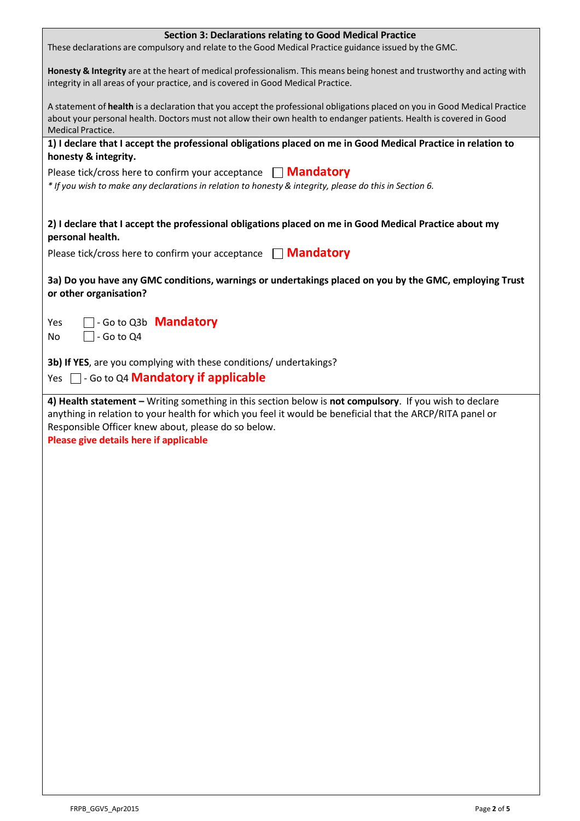| <b>Section 3: Declarations relating to Good Medical Practice</b><br>These declarations are compulsory and relate to the Good Medical Practice guidance issued by the GMC.                                                                                              |
|------------------------------------------------------------------------------------------------------------------------------------------------------------------------------------------------------------------------------------------------------------------------|
|                                                                                                                                                                                                                                                                        |
| Honesty & Integrity are at the heart of medical professionalism. This means being honest and trustworthy and acting with<br>integrity in all areas of your practice, and is covered in Good Medical Practice.                                                          |
| A statement of health is a declaration that you accept the professional obligations placed on you in Good Medical Practice<br>about your personal health. Doctors must not allow their own health to endanger patients. Health is covered in Good<br>Medical Practice. |
| 1) I declare that I accept the professional obligations placed on me in Good Medical Practice in relation to                                                                                                                                                           |
| honesty & integrity.                                                                                                                                                                                                                                                   |
| Please tick/cross here to confirm your acceptance $\Box$ <b>Mandatory</b><br>* If you wish to make any declarations in relation to honesty & integrity, please do this in Section 6.                                                                                   |
| 2) I declare that I accept the professional obligations placed on me in Good Medical Practice about my<br>personal health.                                                                                                                                             |
| Please tick/cross here to confirm your acceptance   Mandatory                                                                                                                                                                                                          |
| 3a) Do you have any GMC conditions, warnings or undertakings placed on you by the GMC, employing Trust<br>or other organisation?                                                                                                                                       |
| $\Box$ - Go to Q3b <b>Mandatory</b><br>Yes                                                                                                                                                                                                                             |
| $\overline{\phantom{a}}$ - Go to Q4<br>No                                                                                                                                                                                                                              |
| 3b) If YES, are you complying with these conditions/ undertakings?                                                                                                                                                                                                     |
| Yes $\Box$ - Go to Q4 <b>Mandatory if applicable</b>                                                                                                                                                                                                                   |
| 4) Health statement - Writing something in this section below is not compulsory. If you wish to declare                                                                                                                                                                |
| anything in relation to your health for which you feel it would be beneficial that the ARCP/RITA panel or<br>Responsible Officer knew about, please do so below.<br>Please give details here if applicable                                                             |
|                                                                                                                                                                                                                                                                        |
|                                                                                                                                                                                                                                                                        |
|                                                                                                                                                                                                                                                                        |
|                                                                                                                                                                                                                                                                        |
|                                                                                                                                                                                                                                                                        |
|                                                                                                                                                                                                                                                                        |
|                                                                                                                                                                                                                                                                        |
|                                                                                                                                                                                                                                                                        |
|                                                                                                                                                                                                                                                                        |
|                                                                                                                                                                                                                                                                        |
|                                                                                                                                                                                                                                                                        |
|                                                                                                                                                                                                                                                                        |
|                                                                                                                                                                                                                                                                        |
|                                                                                                                                                                                                                                                                        |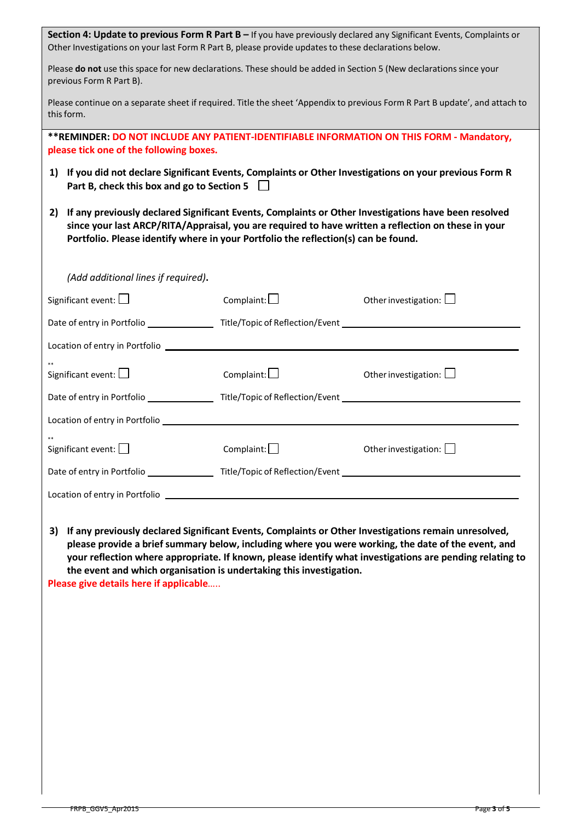| Section 4: Update to previous Form R Part B - If you have previously declared any Significant Events, Complaints or<br>Other Investigations on your last Form R Part B, please provide updates to these declarations below.                                                                             |                                                                                                                |                                                                                                                                                                                                                                                                                                                        |  |  |  |  |
|---------------------------------------------------------------------------------------------------------------------------------------------------------------------------------------------------------------------------------------------------------------------------------------------------------|----------------------------------------------------------------------------------------------------------------|------------------------------------------------------------------------------------------------------------------------------------------------------------------------------------------------------------------------------------------------------------------------------------------------------------------------|--|--|--|--|
| Please do not use this space for new declarations. These should be added in Section 5 (New declarations since your<br>previous Form R Part B).                                                                                                                                                          |                                                                                                                |                                                                                                                                                                                                                                                                                                                        |  |  |  |  |
| Please continue on a separate sheet if required. Title the sheet 'Appendix to previous Form R Part B update', and attach to<br>this form.                                                                                                                                                               |                                                                                                                |                                                                                                                                                                                                                                                                                                                        |  |  |  |  |
| ** REMINDER: DO NOT INCLUDE ANY PATIENT-IDENTIFIABLE INFORMATION ON THIS FORM - Mandatory,<br>please tick one of the following boxes.                                                                                                                                                                   |                                                                                                                |                                                                                                                                                                                                                                                                                                                        |  |  |  |  |
| 1) If you did not declare Significant Events, Complaints or Other Investigations on your previous Form R<br>Part B, check this box and go to Section 5                                                                                                                                                  |                                                                                                                |                                                                                                                                                                                                                                                                                                                        |  |  |  |  |
| If any previously declared Significant Events, Complaints or Other Investigations have been resolved<br>2)<br>since your last ARCP/RITA/Appraisal, you are required to have written a reflection on these in your<br>Portfolio. Please identify where in your Portfolio the reflection(s) can be found. |                                                                                                                |                                                                                                                                                                                                                                                                                                                        |  |  |  |  |
| (Add additional lines if required).                                                                                                                                                                                                                                                                     |                                                                                                                |                                                                                                                                                                                                                                                                                                                        |  |  |  |  |
| Significant event: $\Box$                                                                                                                                                                                                                                                                               | Complaint: $\Box$                                                                                              | Other investigation: $\bigsqcup$                                                                                                                                                                                                                                                                                       |  |  |  |  |
|                                                                                                                                                                                                                                                                                                         | Date of entry in Portfolio _________________Title/Topic of Reflection/Event __________________________________ |                                                                                                                                                                                                                                                                                                                        |  |  |  |  |
|                                                                                                                                                                                                                                                                                                         |                                                                                                                |                                                                                                                                                                                                                                                                                                                        |  |  |  |  |
| Significant event: $\Box$                                                                                                                                                                                                                                                                               | $Complain: \Box$                                                                                               | Other investigation: $\square$                                                                                                                                                                                                                                                                                         |  |  |  |  |
|                                                                                                                                                                                                                                                                                                         | Date of entry in Portfolio ____________________Title/Topic of Reflection/Event _____________________           |                                                                                                                                                                                                                                                                                                                        |  |  |  |  |
|                                                                                                                                                                                                                                                                                                         |                                                                                                                |                                                                                                                                                                                                                                                                                                                        |  |  |  |  |
| Significant event: $\square$                                                                                                                                                                                                                                                                            | Complain:                                                                                                      | Other investigation:                                                                                                                                                                                                                                                                                                   |  |  |  |  |
| Date of entry in Portfolio ____________________Title/Topic of Reflection/Event _______________________________                                                                                                                                                                                          |                                                                                                                |                                                                                                                                                                                                                                                                                                                        |  |  |  |  |
| Location of entry in Portfolio                                                                                                                                                                                                                                                                          |                                                                                                                |                                                                                                                                                                                                                                                                                                                        |  |  |  |  |
| 3)<br>the event and which organisation is undertaking this investigation.<br>Please give details here if applicable                                                                                                                                                                                     |                                                                                                                | If any previously declared Significant Events, Complaints or Other Investigations remain unresolved,<br>please provide a brief summary below, including where you were working, the date of the event, and<br>your reflection where appropriate. If known, please identify what investigations are pending relating to |  |  |  |  |
|                                                                                                                                                                                                                                                                                                         |                                                                                                                |                                                                                                                                                                                                                                                                                                                        |  |  |  |  |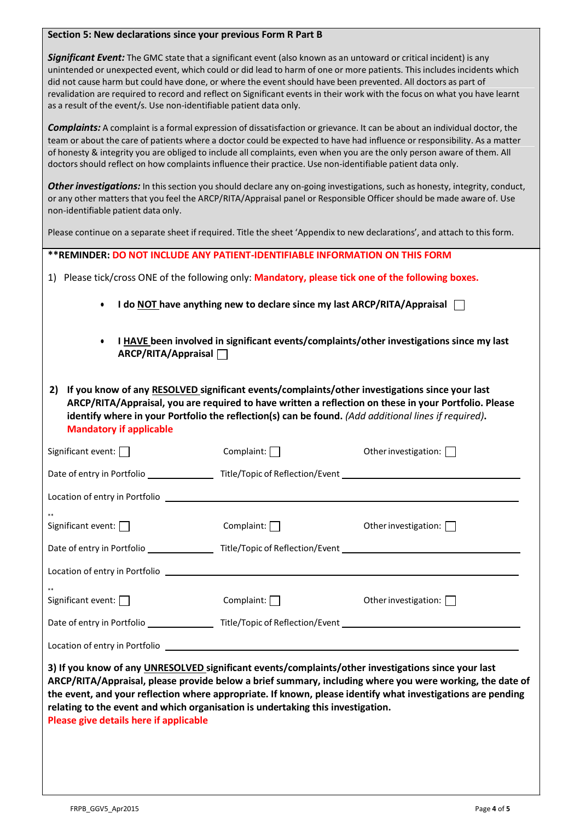| Section 5: New declarations since your previous Form R Part B                                                                                                                                                                                                                                                                                                                                                                                                                                                                                                     |                   |                                                                                                                                                                                                                         |  |  |  |  |  |
|-------------------------------------------------------------------------------------------------------------------------------------------------------------------------------------------------------------------------------------------------------------------------------------------------------------------------------------------------------------------------------------------------------------------------------------------------------------------------------------------------------------------------------------------------------------------|-------------------|-------------------------------------------------------------------------------------------------------------------------------------------------------------------------------------------------------------------------|--|--|--|--|--|
| Significant Event: The GMC state that a significant event (also known as an untoward or critical incident) is any<br>unintended or unexpected event, which could or did lead to harm of one or more patients. This includes incidents which<br>did not cause harm but could have done, or where the event should have been prevented. All doctors as part of<br>revalidation are required to record and reflect on Significant events in their work with the focus on what you have learnt<br>as a result of the event/s. Use non-identifiable patient data only. |                   |                                                                                                                                                                                                                         |  |  |  |  |  |
| <b>Complaints:</b> A complaint is a formal expression of dissatisfaction or grievance. It can be about an individual doctor, the<br>team or about the care of patients where a doctor could be expected to have had influence or responsibility. As a matter<br>of honesty & integrity you are obliged to include all complaints, even when you are the only person aware of them. All<br>doctors should reflect on how complaints influence their practice. Use non-identifiable patient data only.                                                              |                   |                                                                                                                                                                                                                         |  |  |  |  |  |
| or any other matters that you feel the ARCP/RITA/Appraisal panel or Responsible Officer should be made aware of. Use<br>non-identifiable patient data only.                                                                                                                                                                                                                                                                                                                                                                                                       |                   | Other investigations: In this section you should declare any on-going investigations, such as honesty, integrity, conduct,                                                                                              |  |  |  |  |  |
| Please continue on a separate sheet if required. Title the sheet 'Appendix to new declarations', and attach to this form.                                                                                                                                                                                                                                                                                                                                                                                                                                         |                   |                                                                                                                                                                                                                         |  |  |  |  |  |
| ** REMINDER: DO NOT INCLUDE ANY PATIENT-IDENTIFIABLE INFORMATION ON THIS FORM                                                                                                                                                                                                                                                                                                                                                                                                                                                                                     |                   |                                                                                                                                                                                                                         |  |  |  |  |  |
| 1) Please tick/cross ONE of the following only: Mandatory, please tick one of the following boxes.                                                                                                                                                                                                                                                                                                                                                                                                                                                                |                   |                                                                                                                                                                                                                         |  |  |  |  |  |
| I do NOT have anything new to declare since my last ARCP/RITA/Appraisal<br>$\bullet$                                                                                                                                                                                                                                                                                                                                                                                                                                                                              |                   |                                                                                                                                                                                                                         |  |  |  |  |  |
| I HAVE been involved in significant events/complaints/other investigations since my last<br>ARCP/RITA/Appraisal                                                                                                                                                                                                                                                                                                                                                                                                                                                   |                   |                                                                                                                                                                                                                         |  |  |  |  |  |
| If you know of any RESOLVED significant events/complaints/other investigations since your last<br>2)<br>ARCP/RITA/Appraisal, you are required to have written a reflection on these in your Portfolio. Please<br>identify where in your Portfolio the reflection(s) can be found. (Add additional lines if required).<br><b>Mandatory if applicable</b>                                                                                                                                                                                                           |                   |                                                                                                                                                                                                                         |  |  |  |  |  |
| Significant event:                                                                                                                                                                                                                                                                                                                                                                                                                                                                                                                                                | Complaint:        | Other investigation:                                                                                                                                                                                                    |  |  |  |  |  |
| Date of entry in Portfolio ____________________Title/Topic of Reflection/Event _______________________________                                                                                                                                                                                                                                                                                                                                                                                                                                                    |                   |                                                                                                                                                                                                                         |  |  |  |  |  |
| Location of entry in Portfolio                                                                                                                                                                                                                                                                                                                                                                                                                                                                                                                                    |                   |                                                                                                                                                                                                                         |  |  |  |  |  |
| Significant event: $\Box$                                                                                                                                                                                                                                                                                                                                                                                                                                                                                                                                         | Complaint: $\Box$ | Other investigation: $\Box$                                                                                                                                                                                             |  |  |  |  |  |
| Date of entry in Portfolio ____________________Title/Topic of Reflection/Event _______________________________                                                                                                                                                                                                                                                                                                                                                                                                                                                    |                   |                                                                                                                                                                                                                         |  |  |  |  |  |
| Location of entry in Portfolio <b>contract and the contract of the contract of the contract of the contract of the contract of the contract of the contract of the contract of the contract of the contract of the contract of t</b>                                                                                                                                                                                                                                                                                                                              |                   |                                                                                                                                                                                                                         |  |  |  |  |  |
| Significant event: $\Box$                                                                                                                                                                                                                                                                                                                                                                                                                                                                                                                                         | Complaint: $\Box$ | Other investigation: $\Box$                                                                                                                                                                                             |  |  |  |  |  |
| Date of entry in Portfolio ____________________Title/Topic of Reflection/Event _______________________________                                                                                                                                                                                                                                                                                                                                                                                                                                                    |                   |                                                                                                                                                                                                                         |  |  |  |  |  |
| Location of entry in Portfolio <b>Contract Contract Contract Contract Contract Contract Contract Contract Contract Contract Contract Contract Contract Contract Contract Contract Contract Contract Contract Contract Contract C</b>                                                                                                                                                                                                                                                                                                                              |                   |                                                                                                                                                                                                                         |  |  |  |  |  |
| 3) If you know of any UNRESOLVED significant events/complaints/other investigations since your last<br>relating to the event and which organisation is undertaking this investigation.<br>Please give details here if applicable                                                                                                                                                                                                                                                                                                                                  |                   | ARCP/RITA/Appraisal, please provide below a brief summary, including where you were working, the date of<br>the event, and your reflection where appropriate. If known, please identify what investigations are pending |  |  |  |  |  |